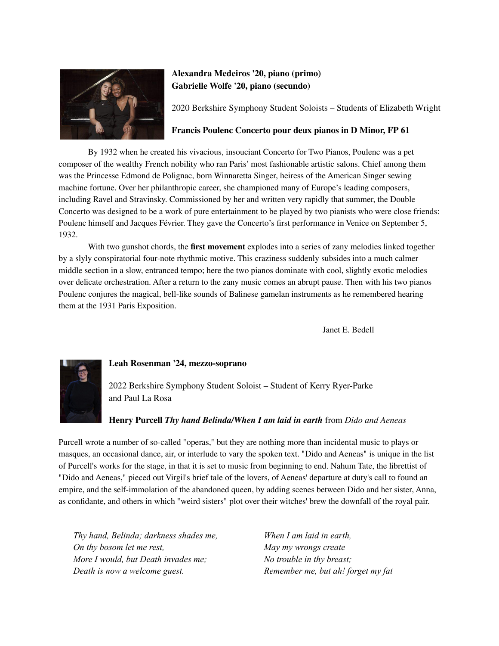

# **Alexandra Medeiros '20, piano (primo) Gabrielle Wolfe '20, piano (secundo)**

2020 Berkshire Symphony Student Soloists – Students of Elizabeth Wright

## **Francis Poulenc Concerto pour deux pianos in D Minor, FP 61**

By 1932 when he created his vivacious, insouciant Concerto for Two Pianos, Poulenc was a pet composer of the wealthy French nobility who ran Paris' most fashionable artistic salons. Chief among them was the Princesse Edmond de Polignac, born Winnaretta Singer, heiress of the American Singer sewing machine fortune. Over her philanthropic career, she championed many of Europe's leading composers, including Ravel and Stravinsky. Commissioned by her and written very rapidly that summer, the Double Concerto was designed to be a work of pure entertainment to be played by two pianists who were close friends: Poulenc himself and Jacques Février. They gave the Concerto's first performance in Venice on September 5, 1932.

With two gunshot chords, the **first movement** explodes into a series of zany melodies linked together by a slyly conspiratorial four-note rhythmic motive. This craziness suddenly subsides into a much calmer middle section in a slow, entranced tempo; here the two pianos dominate with cool, slightly exotic melodies over delicate orchestration. After a return to the zany music comes an abrupt pause. Then with his two pianos Poulenc conjures the magical, bell-like sounds of Balinese gamelan instruments as he remembered hearing them at the 1931 Paris Exposition.

Janet E. Bedell



# **Leah Rosenman '24, mezzo-soprano**

2022 Berkshire Symphony Student Soloist – Student of Kerry Ryer-Parke and Paul La Rosa

### **Henry Purcell** *Thy hand Belinda/When I am laid in earth* from *Dido and Aeneas*

Purcell wrote a number of so-called "operas," but they are nothing more than incidental music to plays or masques, an occasional dance, air, or interlude to vary the spoken text. "Dido and Aeneas" is unique in the list of Purcell's works for the stage, in that it is set to music from beginning to end. Nahum Tate, the librettist of "Dido and Aeneas," pieced out Virgil's brief tale of the lovers, of Aeneas' departure at duty's call to found an empire, and the self-immolation of the abandoned queen, by adding scenes between Dido and her sister, Anna, as confidante, and others in which "weird sisters" plot over their witches' brew the downfall of the royal pair.

*Thy hand, Belinda; darkness shades me, On thy bosom let me rest, More I would, but Death invades me; Death is now a welcome guest.*

*When I am laid in earth, May my wrongs create No trouble in thy breast; Remember me, but ah! forget my fat*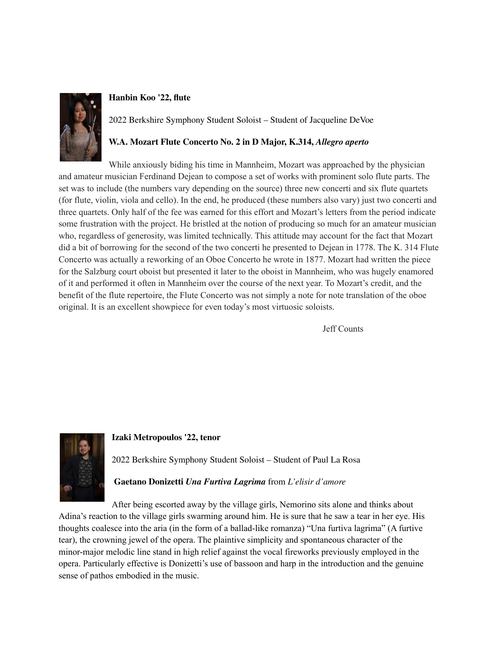

# **Hanbin Koo '22, flute**

2022 Berkshire Symphony Student Soloist – Student of Jacqueline DeVoe

# **W.A. Mozart Flute Concerto No. 2 in D Major, K.314,** *Allegro aperto*

While anxiously biding his time in Mannheim, Mozart was approached by the physician and amateur musician Ferdinand Dejean to compose a set of works with prominent solo flute parts. The set was to include (the numbers vary depending on the source) three new concerti and six flute quartets (for flute, violin, viola and cello). In the end, he produced (these numbers also vary) just two concerti and three quartets. Only half of the fee was earned for this effort and Mozart's letters from the period indicate some frustration with the project. He bristled at the notion of producing so much for an amateur musician who, regardless of generosity, was limited technically. This attitude may account for the fact that Mozart did a bit of borrowing for the second of the two concerti he presented to Dejean in 1778. The K. 314 Flute Concerto was actually a reworking of an Oboe Concerto he wrote in 1877. Mozart had written the piece for the Salzburg court oboist but presented it later to the oboist in Mannheim, who was hugely enamored of it and performed it often in Mannheim over the course of the next year. To Mozart's credit, and the benefit of the flute repertoire, the Flute Concerto was not simply a note for note translation of the oboe original. It is an excellent showpiece for even today's most virtuosic soloists.

Jeff Counts



# **Izaki Metropoulos '22, tenor**

2022 Berkshire Symphony Student Soloist – Student of Paul La Rosa

# **Gaetano Donizetti** *Una Furtiva Lagrima* from *L'elisir d'amore*

After being escorted away by the village girls, Nemorino sits alone and thinks about Adina's reaction to the village girls swarming around him. He is sure that he saw a tear in her eye. His thoughts coalesce into the aria (in the form of a ballad-like romanza) "Una furtiva lagrima" (A furtive tear), the crowning jewel of the opera. The plaintive simplicity and spontaneous character of the minor-major melodic line stand in high relief against the vocal fireworks previously employed in the opera. Particularly effective is Donizetti's use of bassoon and harp in the introduction and the genuine sense of pathos embodied in the music.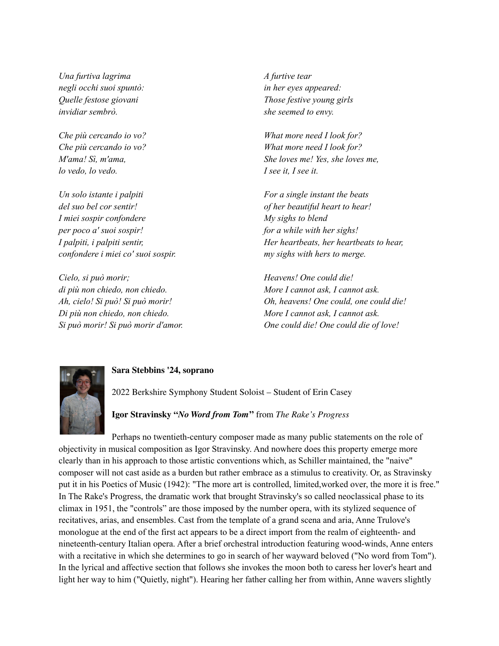*Una furtiva lagrima negli occhi suoi spuntò: Quelle festose giovani invidiar sembrò.*

*Che più cercando io vo? Che più cercando io vo? M'ama! Sì, m'ama, lo vedo, lo vedo.*

*Un solo istante i palpiti del suo bel cor sentir! I miei sospir confondere per poco a' suoi sospir! I palpiti, i palpiti sentir, confondere i miei co' suoi sospir.*

*Cielo, si può morir; di più non chiedo, non chiedo. Ah, cielo! Si può! Si può morir! Di più non chiedo, non chiedo. Si può morir! Si può morir d'amor.* *A furtive tear in her eyes appeared: Those festive young girls she seemed to envy.*

*What more need I look for? What more need I look for? She loves me! Yes, she loves me, I see it, I see it.*

*For a single instant the beats of her beautiful heart to hear! My sighs to blend for a while with her sighs! Her heartbeats, her heartbeats to hear, my sighs with hers to merge.*

*Heavens! One could die! More I cannot ask, I cannot ask. Oh, heavens! One could, one could die! More I cannot ask, I cannot ask. One could die! One could die of love!*



#### **Sara Stebbins '24, soprano**

2022 Berkshire Symphony Student Soloist – Student of Erin Casey

### **Igor Stravinsky "***No Word from Tom***"** from *The Rake's Progress*

Perhaps no twentieth-century composer made as many public statements on the role of objectivity in musical composition as Igor Stravinsky. And nowhere does this property emerge more clearly than in his approach to those artistic conventions which, as Schiller maintained, the "naive" composer will not cast aside as a burden but rather embrace as a stimulus to creativity. Or, as Stravinsky put it in his Poetics of Music (1942): "The more art is controlled, limited,worked over, the more it is free." In The Rake's Progress, the dramatic work that brought Stravinsky's so called neoclassical phase to its climax in 1951, the "controls" are those imposed by the number opera, with its stylized sequence of recitatives, arias, and ensembles. Cast from the template of a grand scena and aria, Anne Trulove's monologue at the end of the first act appears to be a direct import from the realm of eighteenth- and nineteenth-century Italian opera. After a brief orchestral introduction featuring wood-winds, Anne enters with a recitative in which she determines to go in search of her wayward beloved ("No word from Tom"). In the lyrical and affective section that follows she invokes the moon both to caress her lover's heart and light her way to him ("Quietly, night"). Hearing her father calling her from within, Anne wavers slightly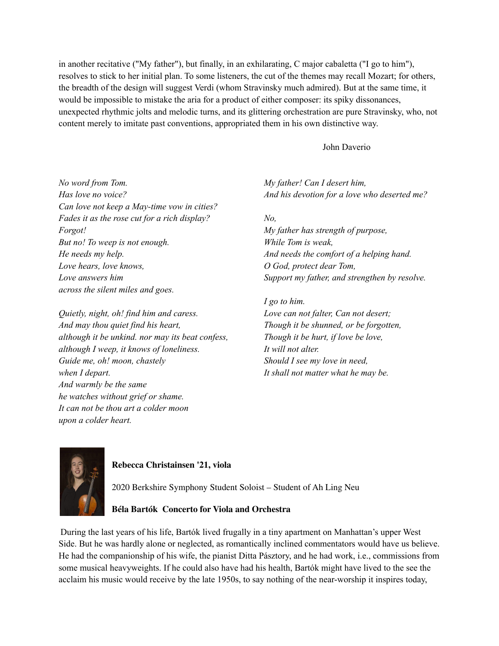in another recitative ("My father"), but finally, in an exhilarating, C major cabaletta ("I go to him"), resolves to stick to her initial plan. To some listeners, the cut of the themes may recall Mozart; for others, the breadth of the design will suggest Verdi (whom Stravinsky much admired). But at the same time, it would be impossible to mistake the aria for a product of either composer: its spiky dissonances, unexpected rhythmic jolts and melodic turns, and its glittering orchestration are pure Stravinsky, who, not content merely to imitate past conventions, appropriated them in his own distinctive way.

John Daverio

*No word from Tom. Has love no voice? Can love not keep a May-time vow in cities? Fades it as the rose cut for a rich display? Forgot! But no! To weep is not enough. He needs my help. Love hears, love knows, Love answers him across the silent miles and goes.*

*Quietly, night, oh! find him and caress. And may thou quiet find his heart, although it be unkind. nor may its beat confess, although I weep, it knows of loneliness. Guide me, oh! moon, chastely when I depart. And warmly be the same he watches without grief or shame. It can not be thou art a colder moon upon a colder heart.*

*My father! Can I desert him, And his devotion for a love who deserted me?*

*No,*

*My father has strength of purpose, While Tom is weak, And needs the comfort of a helping hand. O God, protect dear Tom, Support my father, and strengthen by resolve.*

*I go to him. Love can not falter, Can not desert; Though it be shunned, or be forgotten, Though it be hurt, if love be love, It will not alter. Should I see my love in need, It shall not matter what he may be.*



# **Rebecca Christainsen '21, viola**

2020 Berkshire Symphony Student Soloist – Student of Ah Ling Neu

# **Béla Bartók Concerto for Viola and Orchestra**

During the last years of his life, Bartók lived frugally in a tiny apartment on Manhattan's upper West Side. But he was hardly alone or neglected, as romantically inclined commentators would have us believe. He had the companionship of his wife, the pianist Ditta Pásztory, and he had work, i.e., commissions from some musical heavyweights. If he could also have had his health, Bartók might have lived to the see the acclaim his music would receive by the late 1950s, to say nothing of the near-worship it inspires today,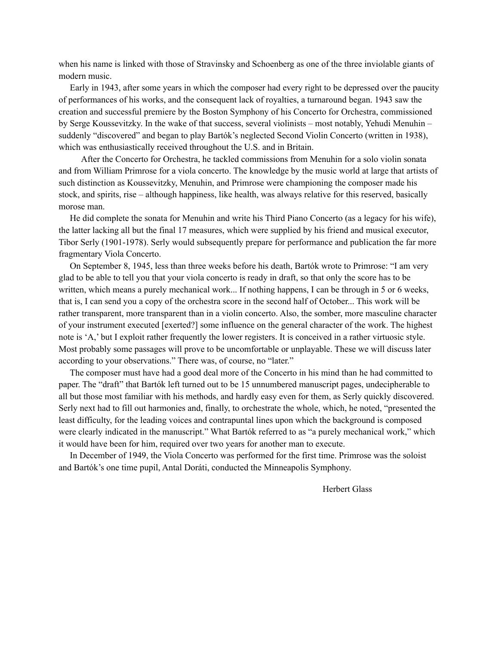when his name is linked with those of Stravinsky and Schoenberg as one of the three inviolable giants of modern music.

Early in 1943, after some years in which the composer had every right to be depressed over the paucity of performances of his works, and the consequent lack of royalties, a turnaround began. 1943 saw the creation and successful premiere by the Boston Symphony of his Concerto for Orchestra, commissioned by Serge Koussevitzky. In the wake of that success, several violinists – most notably, Yehudi Menuhin – suddenly "discovered" and began to play Bartók's neglected Second Violin Concerto (written in 1938), which was enthusiastically received throughout the U.S. and in Britain.

After the Concerto for Orchestra, he tackled commissions from Menuhin for a solo violin sonata and from William Primrose for a viola concerto. The knowledge by the music world at large that artists of such distinction as Koussevitzky, Menuhin, and Primrose were championing the composer made his stock, and spirits, rise – although happiness, like health, was always relative for this reserved, basically morose man.

He did complete the sonata for Menuhin and write his Third Piano Concerto (as a legacy for his wife), the latter lacking all but the final 17 measures, which were supplied by his friend and musical executor, Tibor Serly (1901-1978). Serly would subsequently prepare for performance and publication the far more fragmentary Viola Concerto.

On September 8, 1945, less than three weeks before his death, Bartók wrote to Primrose: "I am very glad to be able to tell you that your viola concerto is ready in draft, so that only the score has to be written, which means a purely mechanical work... If nothing happens, I can be through in 5 or 6 weeks, that is, I can send you a copy of the orchestra score in the second half of October... This work will be rather transparent, more transparent than in a violin concerto. Also, the somber, more masculine character of your instrument executed [exerted?] some influence on the general character of the work. The highest note is 'A,' but I exploit rather frequently the lower registers. It is conceived in a rather virtuosic style. Most probably some passages will prove to be uncomfortable or unplayable. These we will discuss later according to your observations." There was, of course, no "later."

The composer must have had a good deal more of the Concerto in his mind than he had committed to paper. The "draft" that Bartók left turned out to be 15 unnumbered manuscript pages, undecipherable to all but those most familiar with his methods, and hardly easy even for them, as Serly quickly discovered. Serly next had to fill out harmonies and, finally, to orchestrate the whole, which, he noted, "presented the least difficulty, for the leading voices and contrapuntal lines upon which the background is composed were clearly indicated in the manuscript." What Bartók referred to as "a purely mechanical work," which it would have been for him, required over two years for another man to execute.

In December of 1949, the Viola Concerto was performed for the first time. Primrose was the soloist and Bartók's one time pupil, Antal Doráti, conducted the Minneapolis Symphony.

Herbert Glass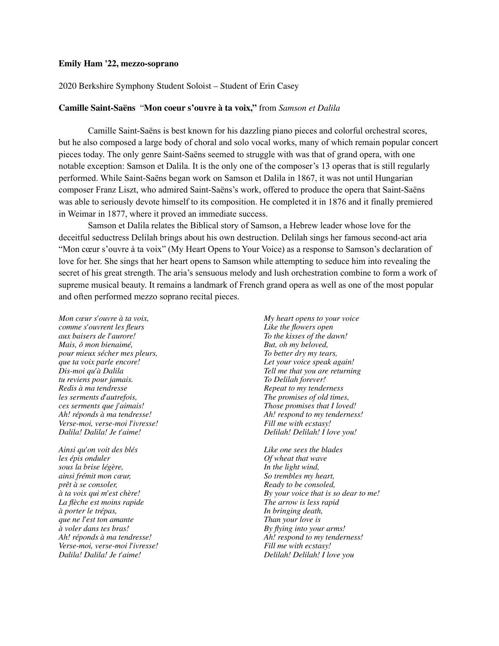#### **Emily Ham '22, mezzo-soprano**

#### 2020 Berkshire Symphony Student Soloist – Student of Erin Casey

## **Camille Saint-Saëns** "**Mon coeur s'ouvre à ta voix,"** from *Samson et Dalila*

Camille Saint-Saëns is best known for his dazzling piano pieces and colorful orchestral scores, but he also composed a large body of choral and solo vocal works, many of which remain popular concert pieces today. The only genre Saint-Saëns seemed to struggle with was that of grand opera, with one notable exception: Samson et Dalila. It is the only one of the composer's 13 operas that is still regularly performed. While Saint-Saëns began work on Samson et Dalila in 1867, it was not until Hungarian composer Franz Liszt, who admired Saint-Saëns's work, offered to produce the opera that Saint-Saëns was able to seriously devote himself to its composition. He completed it in 1876 and it finally premiered in Weimar in 1877, where it proved an immediate success.

Samson et Dalila relates the Biblical story of Samson, a Hebrew leader whose love for the deceitful seductress Delilah brings about his own destruction. Delilah sings her famous second-act aria "Mon cœur s'ouvre à ta voix" (My Heart Opens to Your Voice) as a response to Samson's declaration of love for her. She sings that her heart opens to Samson while attempting to seduce him into revealing the secret of his great strength. The aria's sensuous melody and lush orchestration combine to form a work of supreme musical beauty. It remains a landmark of French grand opera as well as one of the most popular and often performed mezzo soprano recital pieces.

*Mon cœur s'ouvre à ta voix, comme s'ouvrent les fleurs aux baisers de l'aurore! Mais, ô mon bienaimé, pour mieux sécher mes pleurs, que ta voix parle encore! Dis-moi qu'à Dalila tu reviens pour jamais. Redis à ma tendresse les serments d'autrefois, ces serments que j'aimais! Ah! réponds à ma tendresse! Verse-moi, verse-moi l'ivresse! Dalila! Dalila! Je t'aime!*

*Ainsi qu'on voit des blés les épis onduler sous la brise légère, ainsi frémit mon cœur, prêt à se consoler, à ta voix qui m'est chère! La flèche est moins rapide à porter le trépas, que ne l'est ton amante à voler dans tes bras! Ah! réponds à ma tendresse! Verse-moi, verse-moi l'ivresse! Dalila! Dalila! Je t'aime!*

*My heart opens to your voice Like the flowers open To the kisses of the dawn! But, oh my beloved, To better dry my tears, Let your voice speak again! Tell me that you are returning To Delilah forever! Repeat to my tenderness The promises of old times, Those promises that I loved! Ah! respond to my tenderness! Fill me with ecstasy! Delilah! Delilah! I love you!*

*Like one sees the blades Of wheat that wave In the light wind, So trembles my heart, Ready to be consoled, By your voice that is so dear to me! The arrow is less rapid In bringing death, Than your love is By flying into your arms! Ah! respond to my tenderness! Fill me with ecstasy! Delilah! Delilah! I love you*